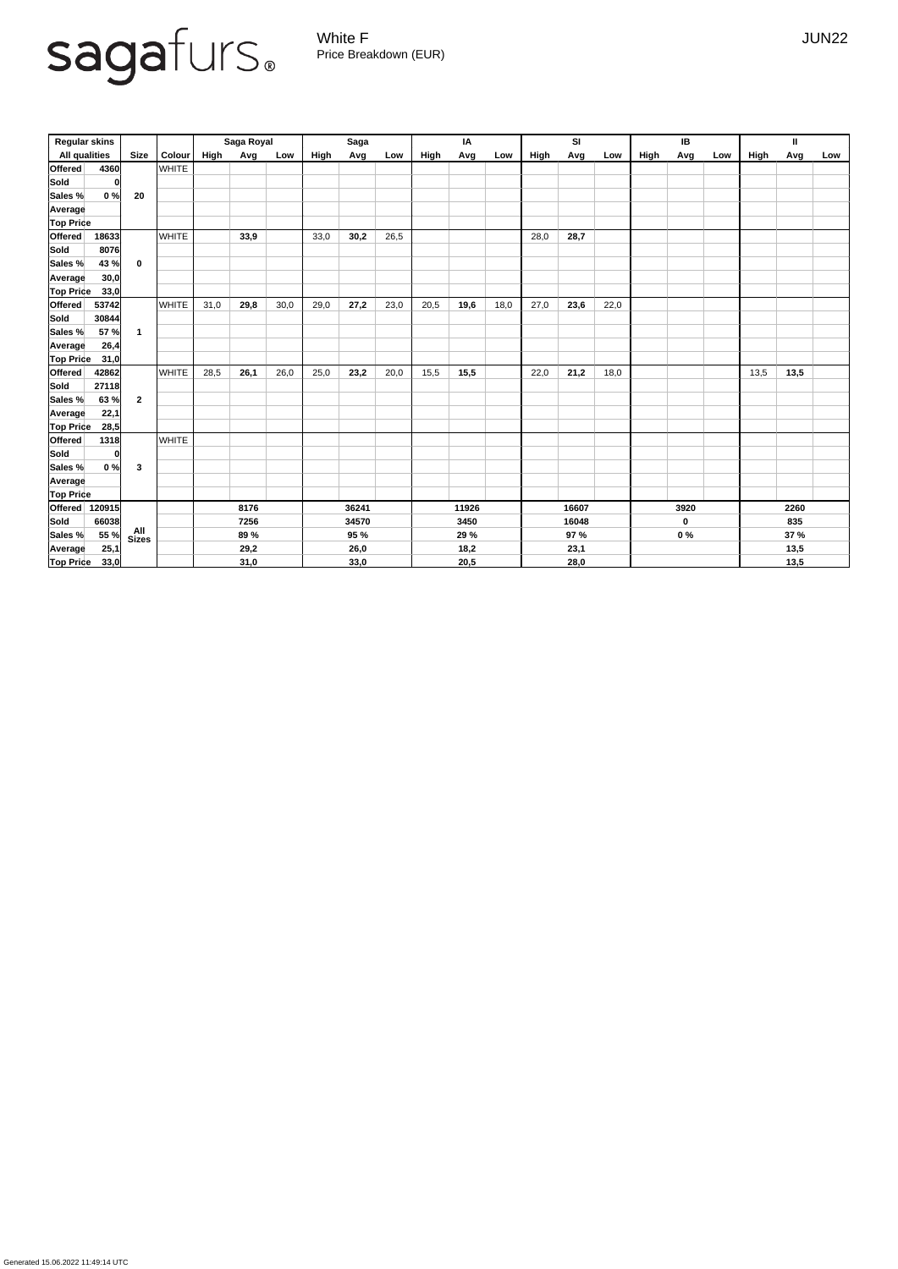Generated 15.06.2022 11:49:14 UTC

White F JUN22 Price Breakdown (EUR)

| <b>Regular skins</b>    |                             |               | Saga Royal |      |      | <b>Saga</b> |             |      | IA   |       |      | <b>SI</b> |       |      | IB          |       |     | $\mathbf{I}$ |             |     |
|-------------------------|-----------------------------|---------------|------------|------|------|-------------|-------------|------|------|-------|------|-----------|-------|------|-------------|-------|-----|--------------|-------------|-----|
| <b>All qualities</b>    | <b>Size</b>                 | <b>Colour</b> | High       | Avg  | Low  | High        | Avg         | Low  | High | Avg   | Low  | High      | Avg   | Low  | High        | Avg   | Low | High         | <b>Avg</b>  | Low |
| <b>Offered</b>          | 4360                        | <b>WHITE</b>  |            |      |      |             |             |      |      |       |      |           |       |      |             |       |     |              |             |     |
| <b>Sold</b>             | 0                           |               |            |      |      |             |             |      |      |       |      |           |       |      |             |       |     |              |             |     |
| Sales %                 | 0%<br>20                    |               |            |      |      |             |             |      |      |       |      |           |       |      |             |       |     |              |             |     |
| Average                 |                             |               |            |      |      |             |             |      |      |       |      |           |       |      |             |       |     |              |             |     |
| <b>Top Price</b>        |                             |               |            |      |      |             |             |      |      |       |      |           |       |      |             |       |     |              |             |     |
| <b>Offered</b><br>18633 |                             | <b>WHITE</b>  |            | 33,9 |      | 33,0        | 30,2        | 26,5 |      |       |      | 28,0      | 28,7  |      |             |       |     |              |             |     |
| <b>Sold</b>             | 8076                        |               |            |      |      |             |             |      |      |       |      |           |       |      |             |       |     |              |             |     |
| Sales %                 | 43 %<br>$\mathbf 0$         |               |            |      |      |             |             |      |      |       |      |           |       |      |             |       |     |              |             |     |
| Average                 | 30,0                        |               |            |      |      |             |             |      |      |       |      |           |       |      |             |       |     |              |             |     |
| <b>Top Price</b>        | 33,0                        |               |            |      |      |             |             |      |      |       |      |           |       |      |             |       |     |              |             |     |
| <b>Offered</b><br>53742 |                             | <b>WHITE</b>  | 31,0       | 29,8 | 30,0 | 29,0        | 27,2        | 23,0 | 20,5 | 19,6  | 18,0 | 27,0      | 23,6  | 22,0 |             |       |     |              |             |     |
| <b>Sold</b><br>30844    |                             |               |            |      |      |             |             |      |      |       |      |           |       |      |             |       |     |              |             |     |
| Sales %                 | 57 %<br>$\mathbf{1}$        |               |            |      |      |             |             |      |      |       |      |           |       |      |             |       |     |              |             |     |
| Average                 | 26,4                        |               |            |      |      |             |             |      |      |       |      |           |       |      |             |       |     |              |             |     |
| <b>Top Price</b>        | 31,0                        |               |            |      |      |             |             |      |      |       |      |           |       |      |             |       |     |              |             |     |
| <b>Offered</b><br>42862 |                             | <b>WHITE</b>  | 28,5       | 26,1 | 26,0 | 25,0        | 23,2        | 20,0 | 15,5 | 15,5  |      | 22,0      | 21,2  | 18,0 |             |       |     | 13,5         | 13,5        |     |
| <b>Sold</b><br>27118    |                             |               |            |      |      |             |             |      |      |       |      |           |       |      |             |       |     |              |             |     |
| Sales %                 | $\overline{2}$<br>63 %      |               |            |      |      |             |             |      |      |       |      |           |       |      |             |       |     |              |             |     |
| Average                 | 22,1                        |               |            |      |      |             |             |      |      |       |      |           |       |      |             |       |     |              |             |     |
| <b>Top Price</b>        | 28,5                        |               |            |      |      |             |             |      |      |       |      |           |       |      |             |       |     |              |             |     |
| <b>Offered</b>          | 1318                        | <b>WHITE</b>  |            |      |      |             |             |      |      |       |      |           |       |      |             |       |     |              |             |     |
| Sold                    | $\mathbf{0}$                |               |            |      |      |             |             |      |      |       |      |           |       |      |             |       |     |              |             |     |
| Sales %                 | 0%<br>$\mathbf{3}$          |               |            |      |      |             |             |      |      |       |      |           |       |      |             |       |     |              |             |     |
| Average                 |                             |               |            |      |      |             |             |      |      |       |      |           |       |      |             |       |     |              |             |     |
| <b>Top Price</b>        |                             |               |            |      |      |             |             |      |      |       |      |           |       |      |             |       |     |              |             |     |
| <b>Offered</b> 120915   |                             |               |            | 8176 |      |             | 36241       |      |      | 11926 |      |           | 16607 |      |             | 3920  |     | 2260         |             |     |
| Sold<br>66038           |                             |               | 7256       |      |      | 34570       |             |      | 3450 |       |      | 16048     |       |      | $\mathbf 0$ |       | 835 |              |             |     |
| Sales %                 | All<br>55 %<br><b>Sizes</b> |               |            | 89 % |      |             | <b>95 %</b> |      |      | 29 %  |      |           | 97 %  |      |             | $0\%$ |     |              | <b>37 %</b> |     |
| Average                 | 25,1                        |               |            | 29,2 |      |             | 26,0        |      |      | 18,2  |      |           | 23,1  |      |             |       |     |              | 13,5        |     |
| <b>Top Price</b>        | 33,0                        |               |            | 31,0 |      |             | 33,0        |      |      | 20,5  |      |           | 28,0  |      |             |       |     |              | 13,5        |     |